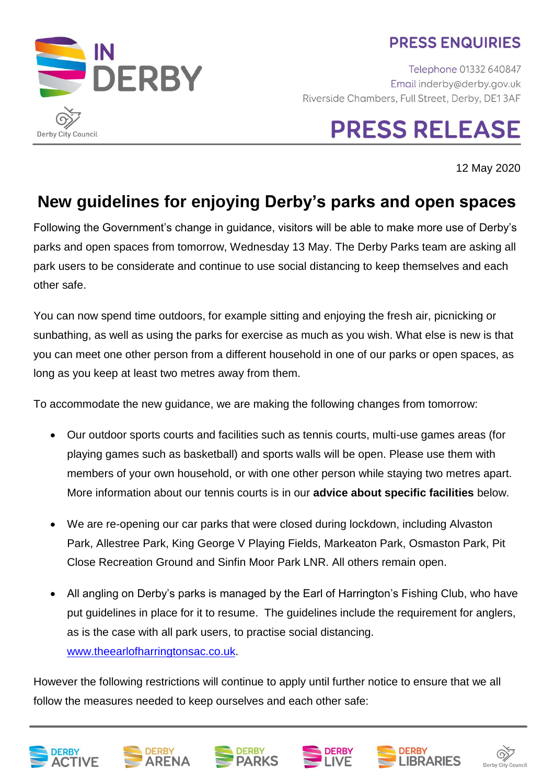### **PRESS ENQUIRIES**

**DERBY** Derby City Council

Telephone 01332 640847 Email inderby@derby.gov.uk Riverside Chambers, Full Street, Derby, DE13AF

# **PRESS RELEASE**

12 May 2020

## **New guidelines for enjoying Derby's parks and open spaces**

Following the Government's change in guidance, visitors will be able to make more use of Derby's parks and open spaces from tomorrow, Wednesday 13 May. The Derby Parks team are asking all park users to be considerate and continue to use social distancing to keep themselves and each other safe.

You can now spend time outdoors, for example sitting and enjoying the fresh air, picnicking or sunbathing, as well as using the parks for exercise as much as you wish. What else is new is that you can meet one other person from a different household in one of our parks or open spaces, as long as you keep at least two metres away from them.

To accommodate the new guidance, we are making the following changes from tomorrow:

- Our outdoor sports courts and facilities such as tennis courts, multi-use games areas (for playing games such as basketball) and sports walls will be open. Please use them with members of your own household, or with one other person while staying two metres apart. More information about our tennis courts is in our **advice about specific facilities** below.
- We are re-opening our car parks that were closed during lockdown, including Alvaston Park, Allestree Park, King George V Playing Fields, Markeaton Park, Osmaston Park, Pit Close Recreation Ground and Sinfin Moor Park LNR. All others remain open.
- All angling on Derby's parks is managed by the Earl of Harrington's Fishing Club, who have put guidelines in place for it to resume. The guidelines include the requirement for anglers, as is the case with all park users, to practise social distancing. [www.theearlofharringtonsac.co.uk.](http://www.theearlofharringtonsac.co.uk/)

However the following restrictions will continue to apply until further notice to ensure that we all follow the measures needed to keep ourselves and each other safe:











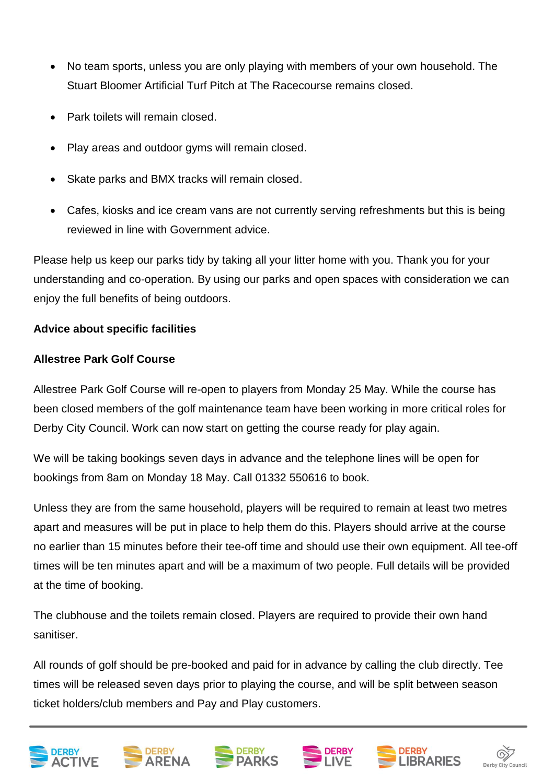- No team sports, unless you are only playing with members of your own household. The Stuart Bloomer Artificial Turf Pitch at The Racecourse remains closed.
- Park toilets will remain closed.
- Play areas and outdoor gyms will remain closed.
- Skate parks and BMX tracks will remain closed.
- Cafes, kiosks and ice cream vans are not currently serving refreshments but this is being reviewed in line with Government advice.

Please help us keep our parks tidy by taking all your litter home with you. Thank you for your understanding and co-operation. By using our parks and open spaces with consideration we can enjoy the full benefits of being outdoors.

#### **Advice about specific facilities**

#### **Allestree Park Golf Course**

Allestree Park Golf Course will re-open to players from Monday 25 May. While the course has been closed members of the golf maintenance team have been working in more critical roles for Derby City Council. Work can now start on getting the course ready for play again.

We will be taking bookings seven days in advance and the telephone lines will be open for bookings from 8am on Monday 18 May. Call 01332 550616 to book.

Unless they are from the same household, players will be required to remain at least two metres apart and measures will be put in place to help them do this. Players should arrive at the course no earlier than 15 minutes before their tee-off time and should use their own equipment. All tee-off times will be ten minutes apart and will be a maximum of two people. Full details will be provided at the time of booking.

The clubhouse and the toilets remain closed. Players are required to provide their own hand sanitiser.

All rounds of golf should be pre-booked and paid for in advance by calling the club directly. Tee times will be released seven days prior to playing the course, and will be split between season ticket holders/club members and Pay and Play customers.